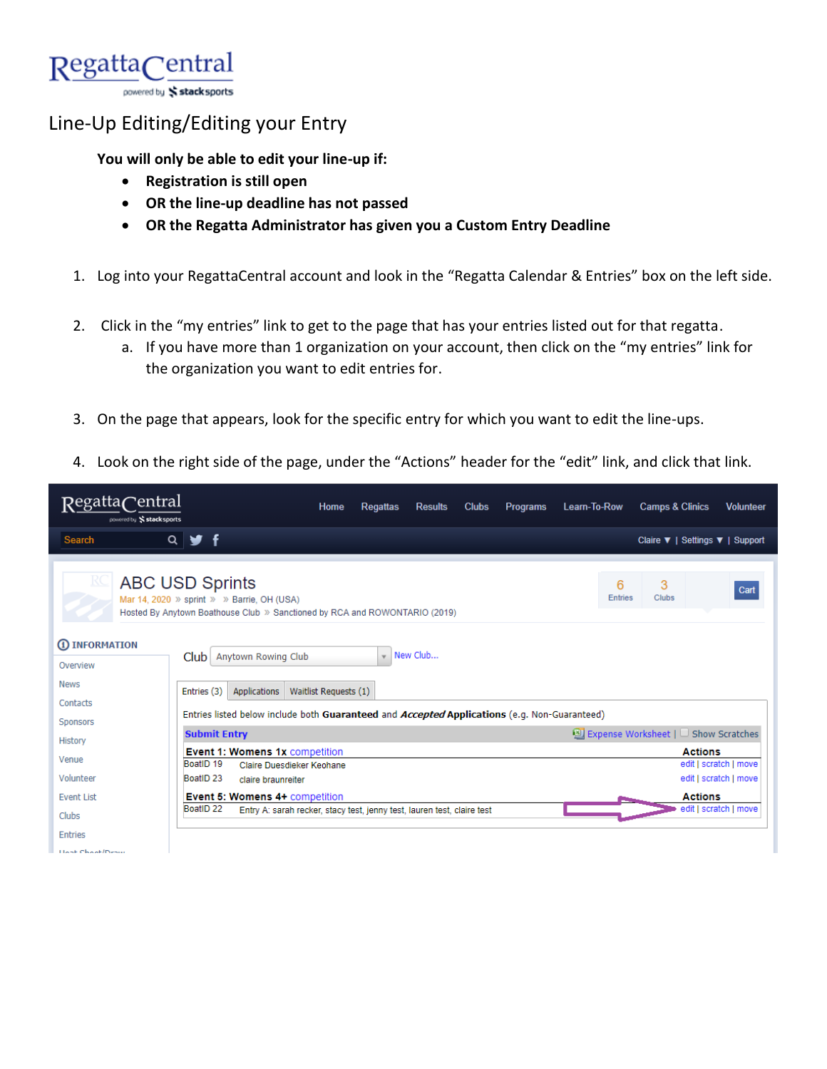

## Line-Up Editing/Editing your Entry

**You will only be able to edit your line-up if:**

- **Registration is still open**
- **OR the line-up deadline has not passed**
- **OR the Regatta Administrator has given you a Custom Entry Deadline**
- 1. Log into your RegattaCentral account and look in the "Regatta Calendar & Entries" box on the left side.
- 2. Click in the "my entries" link to get to the page that has your entries listed out for that regatta.
	- a. If you have more than 1 organization on your account, then click on the "my entries" link for the organization you want to edit entries for.
- 3. On the page that appears, look for the specific entry for which you want to edit the line-ups.
- 4. Look on the right side of the page, under the "Actions" header for the "edit" link, and click that link.

| RegattaCentral<br>powered by Stacksports                                                                                                                                                                         | Home<br><b>Clubs</b><br><b>Programs</b><br>Learn-To-Row<br><b>Regattas</b><br><b>Results</b>    | <b>Camps &amp; Clinics</b><br><b>Volunteer</b> |
|------------------------------------------------------------------------------------------------------------------------------------------------------------------------------------------------------------------|-------------------------------------------------------------------------------------------------|------------------------------------------------|
| <b>Search</b>                                                                                                                                                                                                    | $Q \times f$                                                                                    | Claire ▼   Settings ▼   Support                |
|                                                                                                                                                                                                                  |                                                                                                 |                                                |
| R<br><b>ABC USD Sprints</b><br>3<br>6<br>Cart<br>Entries<br><b>Clubs</b><br>Mar 14, 2020 $\gg$ sprint $\gg$ $\gg$ Barrie, OH (USA)<br>Hosted By Anytown Boathouse Club » Sanctioned by RCA and ROWONTARIO (2019) |                                                                                                 |                                                |
| 1 INFORMATION                                                                                                                                                                                                    |                                                                                                 |                                                |
| Overview                                                                                                                                                                                                         | New Club<br>Anytown Rowing Club<br>$\mathbf{v}$<br>Club                                         |                                                |
| <b>News</b>                                                                                                                                                                                                      | Waitlist Requests (1)<br>Applications<br>Entries (3)                                            |                                                |
| Contacts                                                                                                                                                                                                         |                                                                                                 |                                                |
| Sponsors                                                                                                                                                                                                         | Entries listed below include both Guaranteed and Accepted Applications (e.g. Non-Guaranteed)    |                                                |
| History                                                                                                                                                                                                          | <b>Submit Entry</b>                                                                             | ■ Expense Worksheet   □ Show Scratches         |
| Venue                                                                                                                                                                                                            | <b>Event 1: Womens 1x competition</b><br>BoatID <sub>19</sub><br>Claire Duesdieker Keohane      | <b>Actions</b><br>edit   scratch   move        |
| Volunteer                                                                                                                                                                                                        | BoatID <sub>23</sub><br>claire braunreiter                                                      | edit   scratch   move                          |
| <b>Event List</b>                                                                                                                                                                                                | Event 5: Womens 4+ competition                                                                  | <b>Actions</b>                                 |
| Clubs                                                                                                                                                                                                            | BoatID <sub>22</sub><br>Entry A: sarah recker, stacy test, jenny test, lauren test, claire test | edit   scratch   move                          |
| <b>Entries</b>                                                                                                                                                                                                   |                                                                                                 |                                                |
| <b><i>LEASE OF A SERVICES</i></b>                                                                                                                                                                                |                                                                                                 |                                                |